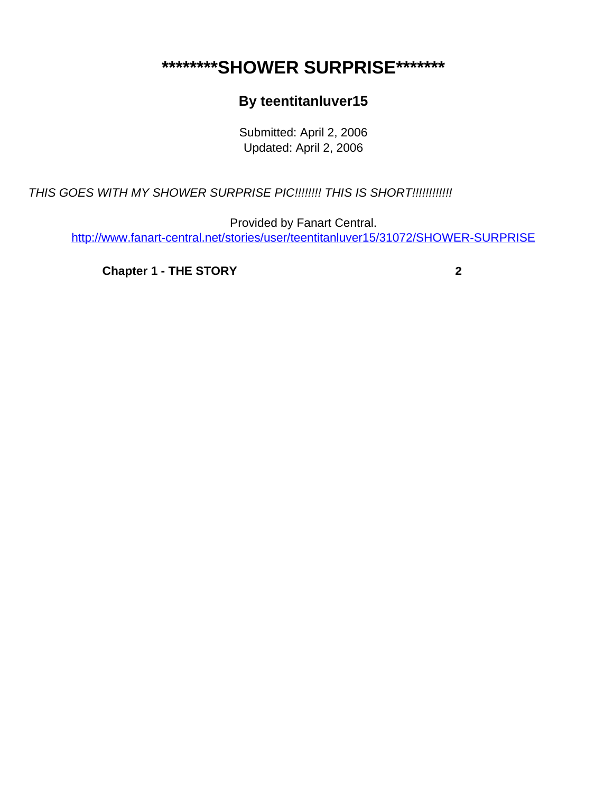## <span id="page-0-0"></span>**\*\*\*\*\*\*\*\*SHOWER SURPRISE\*\*\*\*\*\*\***

## **By teentitanluver15**

Submitted: April 2, 2006 Updated: April 2, 2006

THIS GOES WITH MY SHOWER SURPRISE PIC!!!!!!!! THIS IS SHORT!!!!!!!!!!!!!

Provided by Fanart Central. [http://www.fanart-central.net/stories/user/teentitanluver15/31072/SHOWER-SURPRISE](#page-0-0)

**[Chapter 1 - THE STORY](#page-1-0) [2](#page-1-0)**